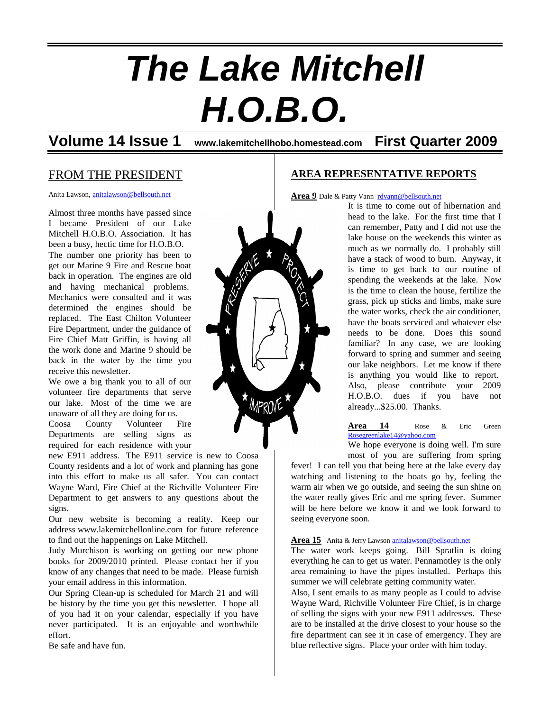# *The Lake Mitchell H.O.B.O.*

**Volume 14 Issue 1 www.lakemitchellhobo.homestead.com First Quarter 2009**

# FROM THE PRESIDENT

Anita Lawson, [anitalawson@bellsouth.net](mailto:anitalawson@bellsouth.net)

Almost three months have passed since I became President of our Lake Mitchell H.O.B.O. Association. It has been a busy, hectic time for H.O.B.O. The number one priority has been to get our Marine 9 Fire and Rescue boat back in operation. The engines are old and having mechanical problems. Mechanics were consulted and it was determined the engines should be replaced. The East Chilton Volunteer Fire Department, under the guidance of Fire Chief Matt Griffin, is having all the work done and Marine 9 should be back in the water by the time you receive this newsletter.

We owe a big thank you to all of our volunteer fire departments that serve our lake. Most of the time we are unaware of all they are doing for us.

Coosa County Volunteer Fire Departments are selling signs as required for each residence with your

new E911 address. The E911 service is new to Coosa County residents and a lot of work and planning has gone into this effort to make us all safer. You can contact Wayne Ward, Fire Chief at the Richville Volunteer Fire Department to get answers to any questions about the signs.

Our new website is becoming a reality. Keep our address www.lakemitchellonline.com for future reference to find out the happenings on Lake Mitchell.

Judy Murchison is working on getting our new phone books for 2009/2010 printed. Please contact her if you know of any changes that need to be made. Please furnish your email address in this information.

Our Spring Clean-up is scheduled for March 21 and will be history by the time you get this newsletter. I hope all of you had it on your calendar, especially if you have never participated. It is an enjoyable and worthwhile effort.

Be safe and have fun.

## **AREA REPRESENTATIVE REPORTS**

Area 9 Dale & Patty Vann [rdvann@bellsouth.net](mailto:rdvann@bellsouth.net)

It is time to come out of hibernation and head to the lake. For the first time that I can remember, Patty and I did not use the lake house on the weekends this winter as much as we normally do. I probably still have a stack of wood to burn. Anyway, it is time to get back to our routine of spending the weekends at the lake. Now is the time to clean the house, fertilize the grass, pick up sticks and limbs, make sure the water works, check the air conditioner, have the boats serviced and whatever else needs to be done. Does this sound familiar? In any case, we are looking forward to spring and summer and seeing our lake neighbors. Let me know if there is anything you would like to report. Also, please contribute your 2009 H.O.B.O. dues if you have not already...\$25.00. Thanks.

**Area 14** Rose & Eric Green [Rosegreenlake14@yahoo.com](mailto:Rosegreenlake14@yahoo.com)

We hope everyone is doing well. I'm sure most of you are suffering from spring

fever! I can tell you that being here at the lake every day watching and listening to the boats go by, feeling the warm air when we go outside, and seeing the sun shine on the water really gives Eric and me spring fever. Summer will be here before we know it and we look forward to seeing everyone soon.

#### Area 15 Anita & Jerry Lawson [anitalawson@bellsouth.net](mailto:anitalawson@bellsouth.net)

The water work keeps going. Bill Spratlin is doing everything he can to get us water. Pennamotley is the only area remaining to have the pipes installed. Perhaps this summer we will celebrate getting community water.

Also, I sent emails to as many people as I could to advise Wayne Ward, Richville Volunteer Fire Chief, is in charge of selling the signs with your new E911 addresses. These are to be installed at the drive closest to your house so the fire department can see it in case of emergency. They are blue reflective signs. Place your order with him today.

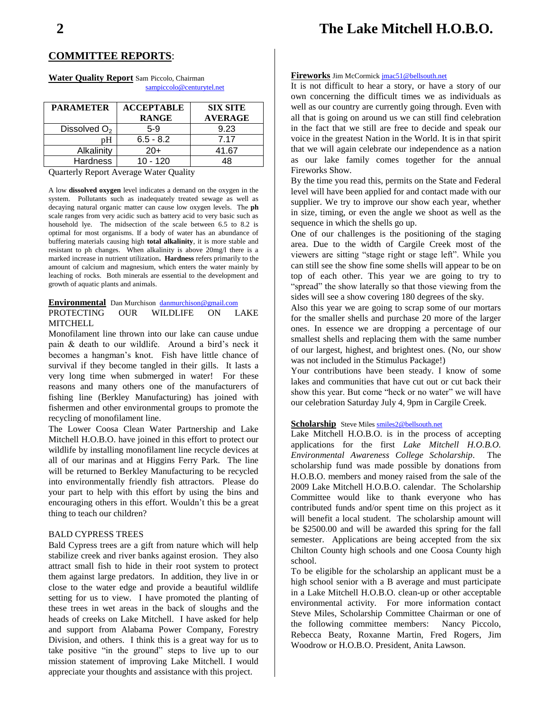# **2 The Lake Mitchell H.O.B.O.**

#### **COMMITTEE REPORTS**:

**Water Quality Report** Sam Piccolo, Chairman [sampiccolo@centurytel.net](mailto:sampiccolo@centurytel.net)

| <b>PARAMETER</b>         | <b>ACCEPTABLE</b><br><b>RANGE</b> | <b>SIX SITE</b><br><b>AVERAGE</b> |
|--------------------------|-----------------------------------|-----------------------------------|
| Dissolved O <sub>2</sub> | 5-9                               | 9.23                              |
| pΗ                       | $6.5 - 8.2$                       | 7.17                              |
| Alkalinity               | $20+$                             | 41.67                             |
| <b>Hardness</b>          | $10 - 120$                        |                                   |

Quarterly Report Average Water Quality

A low **dissolved oxygen** level indicates a demand on the oxygen in the system. Pollutants such as inadequately treated sewage as well as decaying natural organic matter can cause low oxygen levels. The **ph** scale ranges from very acidic such as battery acid to very basic such as household lye. The midsection of the scale between 6.5 to 8.2 is optimal for most organisms. If a body of water has an abundance of buffering materials causing high **total alkalinity**, it is more stable and resistant to ph changes. When alkalinity is above 20mg/l there is a marked increase in nutrient utilization**. Hardness** refers primarily to the amount of calcium and magnesium, which enters the water mainly by leaching of rocks. Both minerals are essential to the development and growth of aquatic plants and animals.

#### **Environmental** Dan Murchison [danmurchison@gmail.com](mailto:danmurchison@gmail.com)

PROTECTING OUR WILDLIFE ON LAKE **MITCHELL** 

Monofilament line thrown into our lake can cause undue pain & death to our wildlife. Around a bird's neck it becomes a hangman's knot. Fish have little chance of survival if they become tangled in their gills. It lasts a very long time when submerged in water! For these reasons and many others one of the manufacturers of fishing line (Berkley Manufacturing) has joined with fishermen and other environmental groups to promote the recycling of monofilament line.

The Lower Coosa Clean Water Partnership and Lake Mitchell H.O.B.O. have joined in this effort to protect our wildlife by installing monofilament line recycle devices at all of our marinas and at Higgins Ferry Park. The line will be returned to Berkley Manufacturing to be recycled into environmentally friendly fish attractors. Please do your part to help with this effort by using the bins and encouraging others in this effort. Wouldn't this be a great thing to teach our children?

#### BALD CYPRESS TREES

Bald Cypress trees are a gift from nature which will help stabilize creek and river banks against erosion. They also attract small fish to hide in their root system to protect them against large predators. In addition, they live in or close to the water edge and provide a beautiful wildlife setting for us to view. I have promoted the planting of these trees in wet areas in the back of sloughs and the heads of creeks on Lake Mitchell. I have asked for help and support from Alabama Power Company, Forestry Division, and others. I think this is a great way for us to take positive "in the ground" steps to live up to our mission statement of improving Lake Mitchell. I would appreciate your thoughts and assistance with this project.

#### **Fireworks** Jim McCormick [jmac51@bellsouth.net](mailto:jmac51@bellsouth.net)

It is not difficult to hear a story, or have a story of our own concerning the difficult times we as individuals as well as our country are currently going through. Even with all that is going on around us we can still find celebration in the fact that we still are free to decide and speak our voice in the greatest Nation in the World. It is in that spirit that we will again celebrate our independence as a nation as our lake family comes together for the annual Fireworks Show.

By the time you read this, permits on the State and Federal level will have been applied for and contact made with our supplier. We try to improve our show each year, whether in size, timing, or even the angle we shoot as well as the sequence in which the shells go up.

One of our challenges is the positioning of the staging area. Due to the width of Cargile Creek most of the viewers are sitting "stage right or stage left". While you can still see the show fine some shells will appear to be on top of each other. This year we are going to try to "spread" the show laterally so that those viewing from the sides will see a show covering 180 degrees of the sky.

Also this year we are going to scrap some of our mortars for the smaller shells and purchase 20 more of the larger ones. In essence we are dropping a percentage of our smallest shells and replacing them with the same number of our largest, highest, and brightest ones. (No, our show was not included in the Stimulus Package!)

Your contributions have been steady. I know of some lakes and communities that have cut out or cut back their show this year. But come "heck or no water" we will have our celebration Saturday July 4, 9pm in Cargile Creek.

#### **Scholarship** Steve Mile[s smiles2@bellsouth.net](mailto:smiles2@bellsouth.net)

Lake Mitchell H.O.B.O. is in the process of accepting applications for the first *Lake Mitchell H.O.B.O. Environmental Awareness College Scholarship*. The scholarship fund was made possible by donations from H.O.B.O. members and money raised from the sale of the 2009 Lake Mitchell H.O.B.O. calendar. The Scholarship Committee would like to thank everyone who has contributed funds and/or spent time on this project as it will benefit a local student. The scholarship amount will be \$2500.00 and will be awarded this spring for the fall semester. Applications are being accepted from the six Chilton County high schools and one Coosa County high school.

To be eligible for the scholarship an applicant must be a high school senior with a B average and must participate in a Lake Mitchell H.O.B.O. clean-up or other acceptable environmental activity. For more information contact Steve Miles, Scholarship Committee Chairman or one of the following committee members: Nancy Piccolo, Rebecca Beaty, Roxanne Martin, Fred Rogers, Jim Woodrow or H.O.B.O. President, Anita Lawson.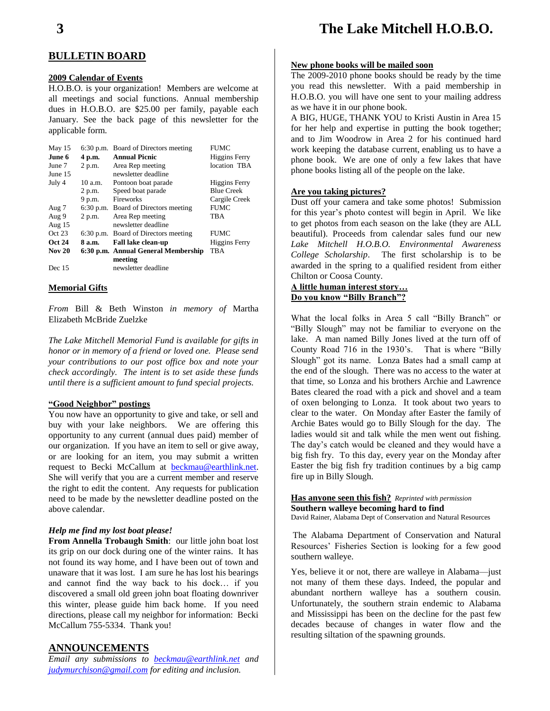#### **BULLETIN BOARD**

#### **2009 Calendar of Events**

H.O.B.O. is your organization! Members are welcome at all meetings and social functions. Annual membership dues in H.O.B.O. are \$25.00 per family, payable each January. See the back page of this newsletter for the applicable form.

| May 15<br>June 6 | $6:30$ p.m.<br>4 p.m. | Board of Directors meeting<br><b>Annual Picnic</b> | <b>FUMC</b><br>Higgins Ferry |
|------------------|-----------------------|----------------------------------------------------|------------------------------|
| June 7           | 2 p.m.                | Area Rep meeting                                   | location TBA                 |
| June 15          |                       | newsletter deadline                                |                              |
| July 4           | 10a.m.                | Pontoon boat parade                                | Higgins Ferry                |
|                  | 2 p.m.                | Speed boat parade                                  | <b>Blue Creek</b>            |
|                  | 9 p.m.                | <b>Fireworks</b>                                   | Cargile Creek                |
| Aug 7            |                       | 6:30 p.m. Board of Directors meeting               | <b>FUMC</b>                  |
| Aug 9            | 2 p.m.                | Area Rep meeting                                   | TBA                          |
| Aug $15$         |                       | newsletter deadline                                |                              |
| Oct 23           |                       | 6:30 p.m. Board of Directors meeting               | <b>FUMC</b>                  |
| <b>Oct 24</b>    | 8 a.m.                | <b>Fall lake clean-up</b>                          | Higgins Ferry                |
| <b>Nov 20</b>    |                       | 6:30 p.m. Annual General Membership                | <b>TBA</b>                   |
|                  |                       | meeting                                            |                              |
| Dec 15           |                       | newsletter deadline                                |                              |

#### **Memorial Gifts**

*From* Bill & Beth Winston *in memory of* Martha Elizabeth McBride Zuelzke

*The Lake Mitchell Memorial Fund is available for gifts in honor or in memory of a friend or loved one. Please send your contributions to our post office box and note your check accordingly. The intent is to set aside these funds until there is a sufficient amount to fund special projects.*

#### **"Good Neighbor" postings**

You now have an opportunity to give and take, or sell and buy with your lake neighbors. We are offering this opportunity to any current (annual dues paid) member of our organization. If you have an item to sell or give away, or are looking for an item, you may submit a written request to Becki McCallum at [beckmau@earthlink.net.](mailto:beckmau@earthlink.net) She will verify that you are a current member and reserve the right to edit the content. Any requests for publication need to be made by the newsletter deadline posted on the above calendar.

#### *Help me find my lost boat please!*

**From Annella Trobaugh Smith**: our little john boat lost its grip on our dock during one of the winter rains. It has not found its way home, and I have been out of town and unaware that it was lost. I am sure he has lost his bearings and cannot find the way back to his dock… if you discovered a small old green john boat floating downriver this winter, please guide him back home. If you need directions, please call my neighbor for information: Becki McCallum 755-5334. Thank you!

#### **ANNOUNCEMENTS**

*Email any submissions to [beckmau@earthlink.net](mailto:beckmau@earthlink.net) and [judymurchison@gmail.com](mailto:judymurchison@gmail.com) for editing and inclusion.*

# **3 The Lake Mitchell H.O.B.O.**

#### **New phone books will be mailed soon**

The 2009-2010 phone books should be ready by the time you read this newsletter. With a paid membership in H.O.B.O. you will have one sent to your mailing address as we have it in our phone book.

A BIG, HUGE, THANK YOU to Kristi Austin in Area 15 for her help and expertise in putting the book together; and to Jim Woodrow in Area 2 for his continued hard work keeping the database current, enabling us to have a phone book. We are one of only a few lakes that have phone books listing all of the people on the lake.

#### **Are you taking pictures?**

Dust off your camera and take some photos! Submission for this year's photo contest will begin in April. We like to get photos from each season on the lake (they are ALL beautiful). Proceeds from calendar sales fund our new *Lake Mitchell H.O.B.O. Environmental Awareness College Scholarship*. The first scholarship is to be awarded in the spring to a qualified resident from either Chilton or Coosa County.

#### **A little human interest story… Do you know "Billy Branch"?**

What the local folks in Area 5 call "Billy Branch" or "Billy Slough" may not be familiar to everyone on the lake. A man named Billy Jones lived at the turn off of County Road 716 in the 1930's. That is where "Billy Slough" got its name. Lonza Bates had a small camp at the end of the slough. There was no access to the water at that time, so Lonza and his brothers Archie and Lawrence Bates cleared the road with a pick and shovel and a team of oxen belonging to Lonza. It took about two years to clear to the water. On Monday after Easter the family of Archie Bates would go to Billy Slough for the day. The ladies would sit and talk while the men went out fishing. The day's catch would be cleaned and they would have a big fish fry. To this day, every year on the Monday after Easter the big fish fry tradition continues by a big camp fire up in Billy Slough.

## **Has anyone seen this fish?** *Reprinted with permission* **Southern walleye becoming hard to find**

David Rainer, Alabama Dept of Conservation and Natural Resources

The Alabama Department of Conservation and Natural Resources' Fisheries Section is looking for a few good southern walleye.

Yes, believe it or not, there are walleye in Alabama—just not many of them these days. Indeed, the popular and abundant northern walleye has a southern cousin. Unfortunately, the southern strain endemic to Alabama and Mississippi has been on the decline for the past few decades because of changes in water flow and the resulting siltation of the spawning grounds.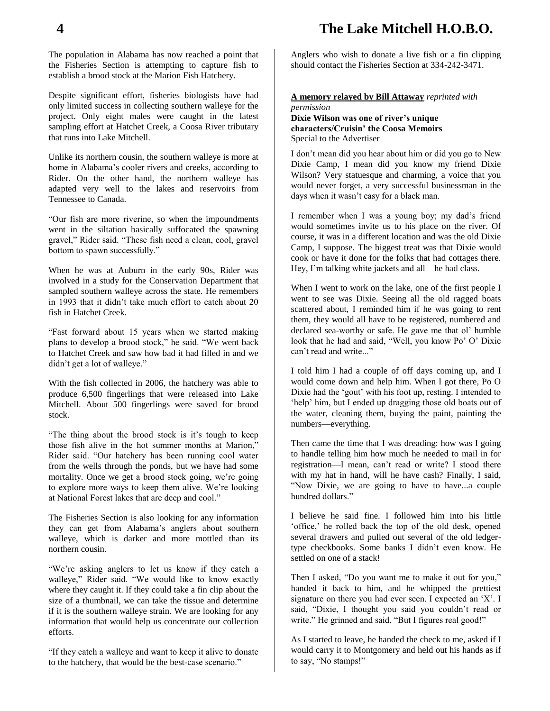# **4 The Lake Mitchell H.O.B.O.**

The population in Alabama has now reached a point that the Fisheries Section is attempting to capture fish to establish a brood stock at the Marion Fish Hatchery.

Despite significant effort, fisheries biologists have had only limited success in collecting southern walleye for the project. Only eight males were caught in the latest sampling effort at Hatchet Creek, a Coosa River tributary that runs into Lake Mitchell.

Unlike its northern cousin, the southern walleye is more at home in Alabama's cooler rivers and creeks, according to Rider. On the other hand, the northern walleye has adapted very well to the lakes and reservoirs from Tennessee to Canada.

"Our fish are more riverine, so when the impoundments went in the siltation basically suffocated the spawning gravel," Rider said. "These fish need a clean, cool, gravel bottom to spawn successfully."

When he was at Auburn in the early 90s, Rider was involved in a study for the Conservation Department that sampled southern walleye across the state. He remembers in 1993 that it didn't take much effort to catch about 20 fish in Hatchet Creek.

"Fast forward about 15 years when we started making plans to develop a brood stock," he said. "We went back to Hatchet Creek and saw how bad it had filled in and we didn't get a lot of walleye."

With the fish collected in 2006, the hatchery was able to produce 6,500 fingerlings that were released into Lake Mitchell. About 500 fingerlings were saved for brood stock.

"The thing about the brood stock is it's tough to keep those fish alive in the hot summer months at Marion," Rider said. "Our hatchery has been running cool water from the wells through the ponds, but we have had some mortality. Once we get a brood stock going, we're going to explore more ways to keep them alive. We're looking at National Forest lakes that are deep and cool."

The Fisheries Section is also looking for any information they can get from Alabama's anglers about southern walleye, which is darker and more mottled than its northern cousin.

"We're asking anglers to let us know if they catch a walleye," Rider said. "We would like to know exactly where they caught it. If they could take a fin clip about the size of a thumbnail, we can take the tissue and determine if it is the southern walleye strain. We are looking for any information that would help us concentrate our collection efforts.

"If they catch a walleye and want to keep it alive to donate to the hatchery, that would be the best-case scenario."

Anglers who wish to donate a live fish or a fin clipping should contact the Fisheries Section at 334-242-3471.

#### **A memory relayed by Bill Attaway** *reprinted with permission*

**Dixie Wilson was one of river's unique characters/Cruisin' the Coosa Memoirs** Special to the Advertiser

I don't mean did you hear about him or did you go to New Dixie Camp, I mean did you know my friend Dixie Wilson? Very statuesque and charming, a voice that you would never forget, a very successful businessman in the days when it wasn't easy for a black man.

I remember when I was a young boy; my dad's friend would sometimes invite us to his place on the river. Of course, it was in a different location and was the old Dixie Camp, I suppose. The biggest treat was that Dixie would cook or have it done for the folks that had cottages there. Hey, I'm talking white jackets and all—he had class.

When I went to work on the lake, one of the first people I went to see was Dixie. Seeing all the old ragged boats scattered about, I reminded him if he was going to rent them, they would all have to be registered, numbered and declared sea-worthy or safe. He gave me that ol' humble look that he had and said, "Well, you know Po' O' Dixie can't read and write..."

I told him I had a couple of off days coming up, and I would come down and help him. When I got there, Po O Dixie had the 'gout' with his foot up, resting. I intended to 'help' him, but I ended up dragging those old boats out of the water, cleaning them, buying the paint, painting the numbers—everything.

Then came the time that I was dreading: how was I going to handle telling him how much he needed to mail in for registration—I mean, can't read or write? I stood there with my hat in hand, will he have cash? Finally, I said, "Now Dixie, we are going to have to have...a couple hundred dollars."

I believe he said fine. I followed him into his little 'office,' he rolled back the top of the old desk, opened several drawers and pulled out several of the old ledgertype checkbooks. Some banks I didn't even know. He settled on one of a stack!

Then I asked, "Do you want me to make it out for you," handed it back to him, and he whipped the prettiest signature on there you had ever seen. I expected an 'X'. I said, "Dixie, I thought you said you couldn't read or write." He grinned and said, "But I figures real good!"

As I started to leave, he handed the check to me, asked if I would carry it to Montgomery and held out his hands as if to say, "No stamps!"